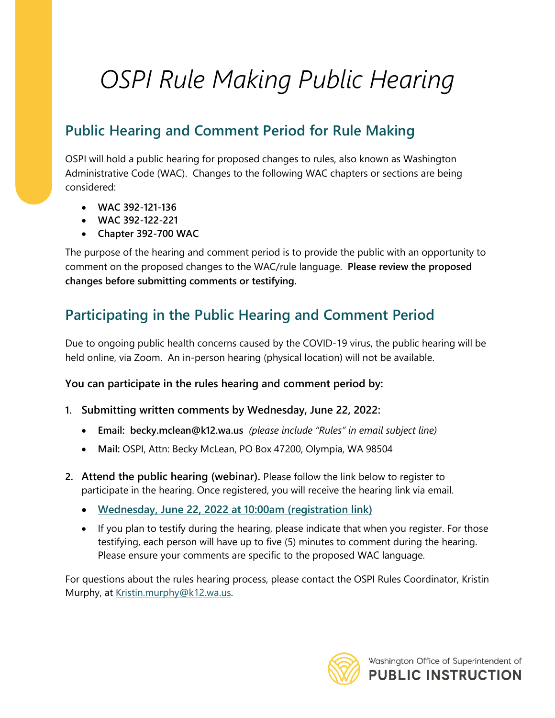## *OSPI Rule Making Public Hearing*

## **Public Hearing and Comment Period for Rule Making**

OSPI will hold a public hearing for proposed changes to rules, also known as Washington Administrative Code (WAC). Changes to the following WAC chapters or sections are being considered:

- **WAC 392-121-136**
- **WAC 392-122-221**
- **Chapter 392-700 WAC**

The purpose of the hearing and comment period is to provide the public with an opportunity to comment on the proposed changes to the WAC/rule language. **Please review the proposed changes before submitting comments or testifying.**

## **Participating in the Public Hearing and Comment Period**

Due to ongoing public health concerns caused by the COVID-19 virus, the public hearing will be held online, via Zoom. An in-person hearing (physical location) will not be available.

**You can participate in the rules hearing and comment period by:**

- **1. Submitting written comments by Wednesday, June 22, 2022:**
	- **Email: becky.mclean@k12.wa.us** *(please include "Rules" in email subject line)*
	- **Mail:** OSPI, Attn: Becky McLean, PO Box 47200, Olympia, WA 98504
- **2. Attend the public hearing (webinar).** Please follow the link below to register to participate in the hearing. Once registered, you will receive the hearing link via email.
	- **[Wednesday, June 22, 2022 at 10:00am \(registration link\)](https://us02web.zoom.us/meeting/register/tZckcO2spjsjGNeA0X28rgie7mWoAntSpukX)**
	- If you plan to testify during the hearing, please indicate that when you register. For those testifying, each person will have up to five (5) minutes to comment during the hearing. Please ensure your comments are specific to the proposed WAC language.

For questions about the rules hearing process, please contact the OSPI Rules Coordinator, Kristin Murphy, at [Kristin.murphy@k12.wa.us.](mailto:Kristin.murphy@k12.wa.us)

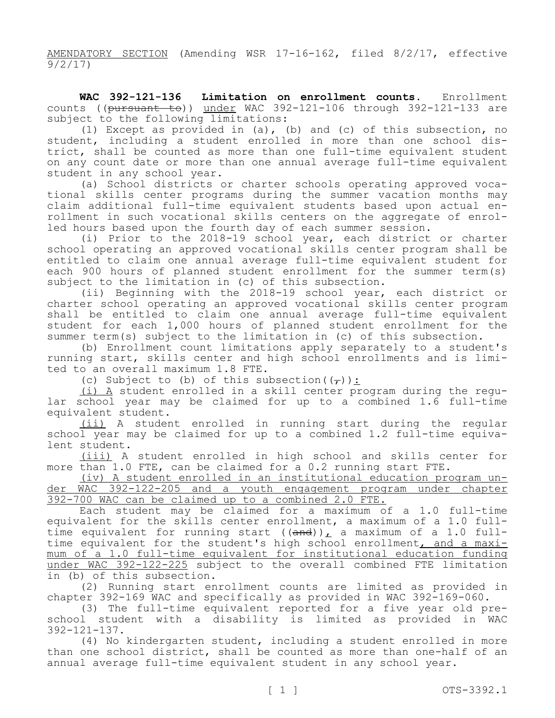AMENDATORY SECTION (Amending WSR 17-16-162, filed 8/2/17, effective 9/2/17)

**WAC 392-121-136 Limitation on enrollment counts.** Enrollment counts ((pursuant to)) under WAC 392-121-106 through 392-121-133 are subject to the following limitations:

(1) Except as provided in (a), (b) and (c) of this subsection, no student, including a student enrolled in more than one school district, shall be counted as more than one full-time equivalent student on any count date or more than one annual average full-time equivalent student in any school year.

(a) School districts or charter schools operating approved vocational skills center programs during the summer vacation months may claim additional full-time equivalent students based upon actual enrollment in such vocational skills centers on the aggregate of enrolled hours based upon the fourth day of each summer session.

(i) Prior to the 2018-19 school year, each district or charter school operating an approved vocational skills center program shall be entitled to claim one annual average full-time equivalent student for each 900 hours of planned student enrollment for the summer term(s) subject to the limitation in (c) of this subsection.

(ii) Beginning with the 2018-19 school year, each district or charter school operating an approved vocational skills center program shall be entitled to claim one annual average full-time equivalent student for each 1,000 hours of planned student enrollment for the summer term(s) subject to the limitation in (c) of this subsection.

(b) Enrollment count limitations apply separately to a student's running start, skills center and high school enrollments and is limited to an overall maximum 1.8 FTE.

(c) Subject to (b) of this subsection( $(\tau)$ ):

(i) A student enrolled in a skill center program during the regular school year may be claimed for up to a combined 1.6 full-time equivalent student.

(ii) A student enrolled in running start during the regular school year may be claimed for up to a combined 1.2 full-time equivalent student.

(iii) A student enrolled in high school and skills center for more than 1.0 FTE, can be claimed for a 0.2 running start FTE.

(iv) A student enrolled in an institutional education program under WAC 392-122-205 and a youth engagement program under chapter 392-700 WAC can be claimed up to a combined 2.0 FTE.

Each student may be claimed for a maximum of a 1.0 full-time equivalent for the skills center enrollment, a maximum of a 1.0 fulltime equivalent for running start  $((and))_L$  a maximum of a 1.0 fulltime equivalent for the student's high school enrollment, and a maximum of a 1.0 full-time equivalent for institutional education funding under WAC 392-122-225 subject to the overall combined FTE limitation in (b) of this subsection.

(2) Running start enrollment counts are limited as provided in chapter 392-169 WAC and specifically as provided in WAC 392-169-060.

(3) The full-time equivalent reported for a five year old preschool student with a disability is limited as provided in WAC 392-121-137.

(4) No kindergarten student, including a student enrolled in more than one school district, shall be counted as more than one-half of an annual average full-time equivalent student in any school year.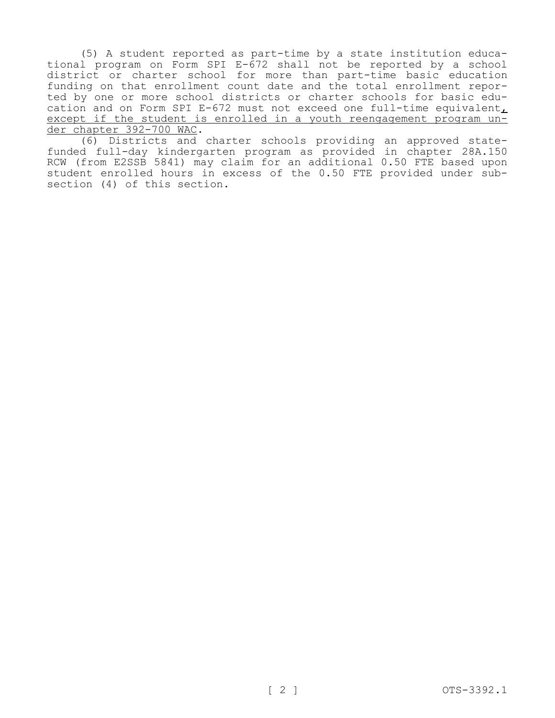(5) A student reported as part-time by a state institution educational program on Form SPI E-672 shall not be reported by a school district or charter school for more than part-time basic education funding on that enrollment count date and the total enrollment reported by one or more school districts or charter schools for basic education and on Form SPI E-672 must not exceed one full-time equivalent, except if the student is enrolled in a youth reengagement program under chapter 392-700 WAC.

(6) Districts and charter schools providing an approved statefunded full-day kindergarten program as provided in chapter 28A.150 RCW (from E2SSB 5841) may claim for an additional 0.50 FTE based upon student enrolled hours in excess of the 0.50 FTE provided under subsection (4) of this section.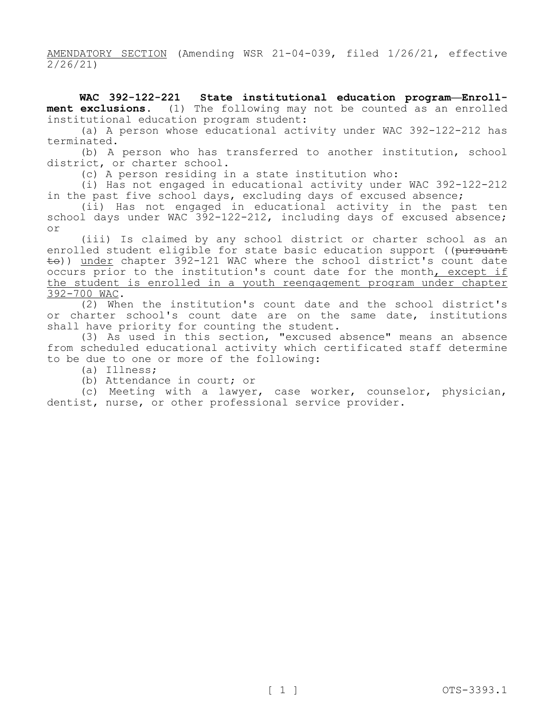AMENDATORY SECTION (Amending WSR 21-04-039, filed 1/26/21, effective 2/26/21)

**WAC 392-122-221 State institutional education program—Enrollment exclusions.** (1) The following may not be counted as an enrolled institutional education program student:

(a) A person whose educational activity under WAC 392-122-212 has terminated.

(b) A person who has transferred to another institution, school district, or charter school.

(c) A person residing in a state institution who:

(i) Has not engaged in educational activity under WAC 392-122-212 in the past five school days, excluding days of excused absence;

(ii) Has not engaged in educational activity in the past ten school days under WAC 392-122-212, including days of excused absence; or

(iii) Is claimed by any school district or charter school as an enrolled student eligible for state basic education support ((pursuant  $\pm$ o)) under chapter 392-121 WAC where the school district's count date occurs prior to the institution's count date for the month, except if the student is enrolled in a youth reengagement program under chapter 392-700 WAC.

(2) When the institution's count date and the school district's or charter school's count date are on the same date, institutions shall have priority for counting the student.

(3) As used in this section, "excused absence" means an absence from scheduled educational activity which certificated staff determine to be due to one or more of the following:

(a) Illness;

(b) Attendance in court; or

(c) Meeting with a lawyer, case worker, counselor, physician, dentist, nurse, or other professional service provider.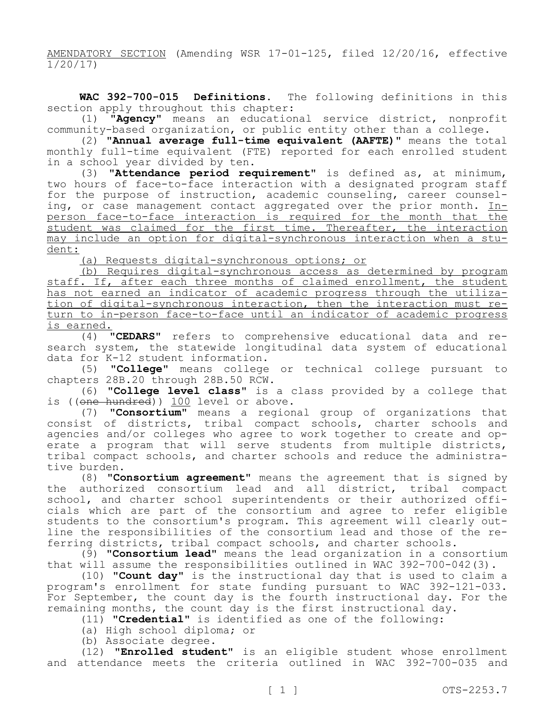AMENDATORY SECTION (Amending WSR 17-01-125, filed 12/20/16, effective 1/20/17)

**WAC 392-700-015 Definitions.** The following definitions in this section apply throughout this chapter:

(1) **"Agency"** means an educational service district, nonprofit community-based organization, or public entity other than a college.

(2) **"Annual average full-time equivalent (AAFTE)"** means the total monthly full-time equivalent (FTE) reported for each enrolled student in a school year divided by ten.

(3) **"Attendance period requirement"** is defined as, at minimum, two hours of face-to-face interaction with a designated program staff for the purpose of instruction, academic counseling, career counseling, or case management contact aggregated over the prior month. Inperson face-to-face interaction is required for the month that the student was claimed for the first time. Thereafter, the interaction may include an option for digital-synchronous interaction when a student:

(a) Requests digital-synchronous options; or

(b) Requires digital-synchronous access as determined by program staff. If, after each three months of claimed enrollment, the student has not earned an indicator of academic progress through the utilization of digital-synchronous interaction, then the interaction must return to in-person face-to-face until an indicator of academic progress is earned.

(4) **"CEDARS"** refers to comprehensive educational data and research system, the statewide longitudinal data system of educational data for K-12 student information.

(5) **"College"** means college or technical college pursuant to chapters 28B.20 through 28B.50 RCW.

(6) **"College level class"** is a class provided by a college that is ((one hundred)) 100 level or above.

(7) **"Consortium"** means a regional group of organizations that consist of districts, tribal compact schools, charter schools and agencies and/or colleges who agree to work together to create and operate a program that will serve students from multiple districts, tribal compact schools, and charter schools and reduce the administrative burden.

(8) **"Consortium agreement"** means the agreement that is signed by the authorized consortium lead and all district, tribal compact school, and charter school superintendents or their authorized officials which are part of the consortium and agree to refer eligible students to the consortium's program. This agreement will clearly outline the responsibilities of the consortium lead and those of the referring districts, tribal compact schools, and charter schools.

(9) **"Consortium lead"** means the lead organization in a consortium that will assume the responsibilities outlined in WAC 392-700-042(3).

(10) **"Count day"** is the instructional day that is used to claim a program's enrollment for state funding pursuant to WAC 392-121-033. For September, the count day is the fourth instructional day. For the remaining months, the count day is the first instructional day.

(11) **"Credential"** is identified as one of the following:

(a) High school diploma; or

(b) Associate degree.

(12) **"Enrolled student"** is an eligible student whose enrollment and attendance meets the criteria outlined in WAC 392-700-035 and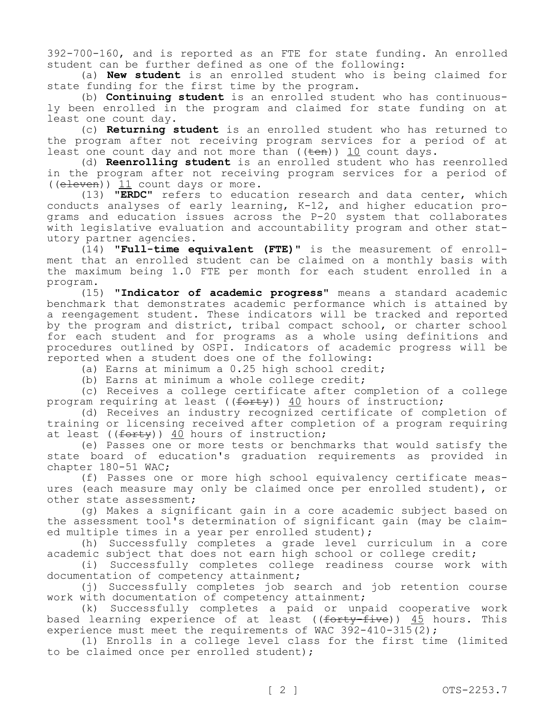392-700-160, and is reported as an FTE for state funding. An enrolled student can be further defined as one of the following:

(a) **New student** is an enrolled student who is being claimed for state funding for the first time by the program.

(b) **Continuing student** is an enrolled student who has continuously been enrolled in the program and claimed for state funding on at least one count day.

(c) **Returning student** is an enrolled student who has returned to the program after not receiving program services for a period of at least one count day and not more than  $((\text{ten}))$  10 count days.

(d) **Reenrolling student** is an enrolled student who has reenrolled in the program after not receiving program services for a period of ((eleven)) 11 count days or more.

(13) **"ERDC"** refers to education research and data center, which conducts analyses of early learning, K-12, and higher education programs and education issues across the P-20 system that collaborates with legislative evaluation and accountability program and other statutory partner agencies.

(14) **"Full-time equivalent (FTE)"** is the measurement of enrollment that an enrolled student can be claimed on a monthly basis with the maximum being 1.0 FTE per month for each student enrolled in a program.

(15) **"Indicator of academic progress"** means a standard academic benchmark that demonstrates academic performance which is attained by a reengagement student. These indicators will be tracked and reported by the program and district, tribal compact school, or charter school for each student and for programs as a whole using definitions and procedures outlined by OSPI. Indicators of academic progress will be reported when a student does one of the following:

(a) Earns at minimum a 0.25 high school credit;

(b) Earns at minimum a whole college credit;

(c) Receives a college certificate after completion of a college program requiring at least ((forty)) 40 hours of instruction;

(d) Receives an industry recognized certificate of completion of training or licensing received after completion of a program requiring at least ( $(forty)$ ) 40 hours of instruction;

(e) Passes one or more tests or benchmarks that would satisfy the state board of education's graduation requirements as provided in chapter 180-51 WAC;

(f) Passes one or more high school equivalency certificate measures (each measure may only be claimed once per enrolled student), or other state assessment;

(g) Makes a significant gain in a core academic subject based on the assessment tool's determination of significant gain (may be claimed multiple times in a year per enrolled student);

(h) Successfully completes a grade level curriculum in a core academic subject that does not earn high school or college credit;

(i) Successfully completes college readiness course work with documentation of competency attainment;

(j) Successfully completes job search and job retention course work with documentation of competency attainment;

(k) Successfully completes a paid or unpaid cooperative work based learning experience of at least ((forty-five)) 45 hours. This experience must meet the requirements of WAC 392-410-315(2);

(l) Enrolls in a college level class for the first time (limited to be claimed once per enrolled student);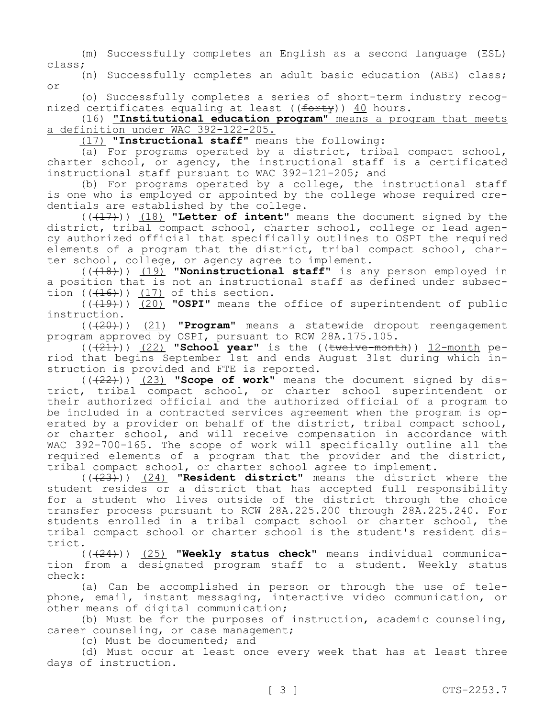(m) Successfully completes an English as a second language (ESL) class;

(n) Successfully completes an adult basic education (ABE) class; or

(o) Successfully completes a series of short-term industry recognized certificates equaling at least ( $(f<sub>orty</sub>)$ ) 40 hours.

(16) **"Institutional education program"** means a program that meets a definition under WAC 392-122-205.

(17) **"Instructional staff"** means the following:

(a) For programs operated by a district, tribal compact school, charter school, or agency, the instructional staff is a certificated instructional staff pursuant to WAC 392-121-205; and

(b) For programs operated by a college, the instructional staff is one who is employed or appointed by the college whose required credentials are established by the college.

 $((+17))$  (18) **"Letter of intent"** means the document signed by the district, tribal compact school, charter school, college or lead agency authorized official that specifically outlines to OSPI the required elements of a program that the district, tribal compact school, charter school, college, or agency agree to implement.

(((18))) (19) **"Noninstructional staff"** is any person employed in a position that is not an instructional staff as defined under subsection  $((+16))$   $(17)$  of this section.

(((19))) (20) **"OSPI"** means the office of superintendent of public instruction.

(((20))) (21) **"Program"** means a statewide dropout reengagement program approved by OSPI, pursuant to RCW 28A.175.105.

(((21))) (22) **"School year"** is the ((twelve-month)) 12-month period that begins September 1st and ends August 31st during which instruction is provided and FTE is reported.

 $((+22))$  (23) **"Scope of work"** means the document signed by district, tribal compact school, or charter school superintendent or their authorized official and the authorized official of a program to be included in a contracted services agreement when the program is operated by a provider on behalf of the district, tribal compact school, or charter school, and will receive compensation in accordance with WAC 392-700-165. The scope of work will specifically outline all the required elements of a program that the provider and the district, tribal compact school, or charter school agree to implement.

(((23))) (24) **"Resident district"** means the district where the student resides or a district that has accepted full responsibility for a student who lives outside of the district through the choice transfer process pursuant to RCW 28A.225.200 through 28A.225.240. For students enrolled in a tribal compact school or charter school, the tribal compact school or charter school is the student's resident district.

(((24))) (25) **"Weekly status check"** means individual communication from a designated program staff to a student. Weekly status check:

(a) Can be accomplished in person or through the use of telephone, email, instant messaging, interactive video communication, or other means of digital communication;

(b) Must be for the purposes of instruction, academic counseling, career counseling, or case management;

(c) Must be documented; and

(d) Must occur at least once every week that has at least three days of instruction.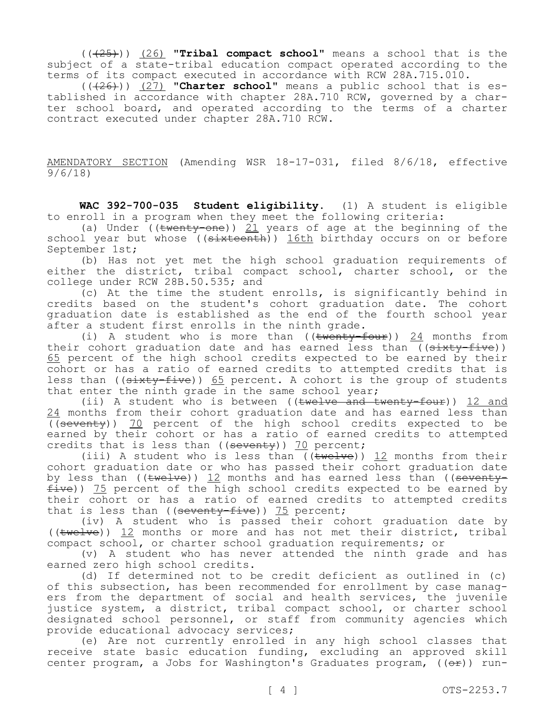(((25))) (26) **"Tribal compact school"** means a school that is the subject of a state-tribal education compact operated according to the terms of its compact executed in accordance with RCW 28A.715.010.

 $((+26))$   $(27)$  "Charter school" means a public school that is established in accordance with chapter 28A.710 RCW, governed by a charter school board, and operated according to the terms of a charter contract executed under chapter 28A.710 RCW.

AMENDATORY SECTION (Amending WSR 18-17-031, filed 8/6/18, effective 9/6/18)

**WAC 392-700-035 Student eligibility.** (1) A student is eligible to enroll in a program when they meet the following criteria:

(a) Under ( $(\text{twenty-one})$ ) 21 years of age at the beginning of the school year but whose ((sixteenth)) 16th birthday occurs on or before September 1st;

(b) Has not yet met the high school graduation requirements of either the district, tribal compact school, charter school, or the college under RCW 28B.50.535; and

(c) At the time the student enrolls, is significantly behind in credits based on the student's cohort graduation date. The cohort graduation date is established as the end of the fourth school year after a student first enrolls in the ninth grade.

(i) A student who is more than  $((\text{twenty-four}))$  24 months from their cohort graduation date and has earned less than ((sixty-five)) 65 percent of the high school credits expected to be earned by their cohort or has a ratio of earned credits to attempted credits that is less than (( $\frac{4}{3}$  and  $\frac{4}{3}$  and  $\frac{4}{3}$  and  $\frac{4}{3}$  and  $\frac{4}{3}$  and  $\frac{4}{3}$  and  $\frac{4}{3}$  and  $\frac{4}{3}$  and  $\frac{4}{3}$  and  $\frac{4}{3}$  and  $\frac{4}{3}$  and  $\frac{4}{3}$  and  $\frac{4}{3}$  and  $\frac{4}{3}$  and  $\frac{4}{3}$  and that enter the ninth grade in the same school year;

(ii) A student who is between ((twelve and twenty-four)) 12 and 24 months from their cohort graduation date and has earned less than ((seventy)) 70 percent of the high school credits expected to be earned by their cohort or has a ratio of earned credits to attempted credits that is less than (( $seventy$ )) 70 percent;

(iii) A student who is less than ( $(\overline{\text{twelve}})$ ) 12 months from their cohort graduation date or who has passed their cohort graduation date by less than (( $t$ welve)) 12 months and has earned less than (( $s$ eventy $f\bar{t}$ ve)) 75 percent of the high school credits expected to be earned by their cohort or has a ratio of earned credits to attempted credits that is less than (( $seventy-five$ )) 75 percent;

(iv) A student who is passed their cohort graduation date by ((twelve)) 12 months or more and has not met their district, tribal compact school, or charter school graduation requirements; or

(v) A student who has never attended the ninth grade and has earned zero high school credits.

(d) If determined not to be credit deficient as outlined in (c) of this subsection, has been recommended for enrollment by case managers from the department of social and health services, the juvenile justice system, a district, tribal compact school, or charter school designated school personnel, or staff from community agencies which provide educational advocacy services;

(e) Are not currently enrolled in any high school classes that receive state basic education funding, excluding an approved skill center program, a Jobs for Washington's Graduates program,  $((\theta \cdot \mathbf{r}))$  run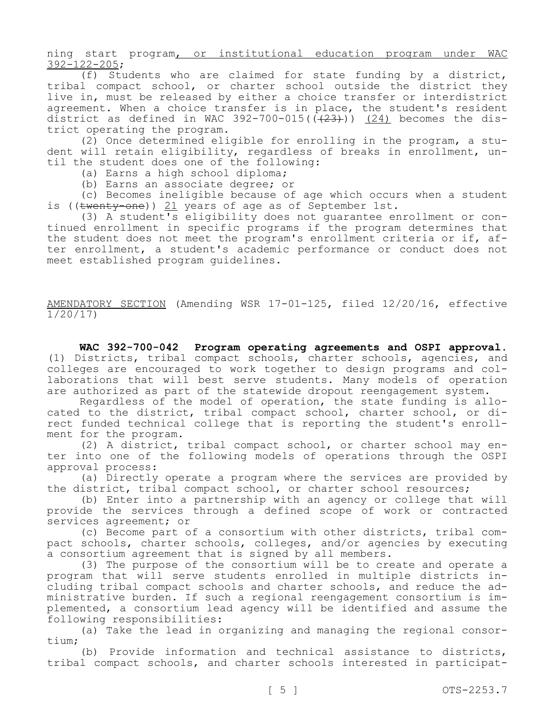ning start program, or institutional education program under WAC 392-122-205;

(f) Students who are claimed for state funding by a district, tribal compact school, or charter school outside the district they live in, must be released by either a choice transfer or interdistrict agreement. When a choice transfer is in place, the student's resident district as defined in WAC 392-700-015( $(\frac{23}{12})$ ) (24) becomes the district operating the program.

(2) Once determined eligible for enrolling in the program, a student will retain eligibility, regardless of breaks in enrollment, until the student does one of the following:

(a) Earns a high school diploma;

(b) Earns an associate degree; or

(c) Becomes ineligible because of age which occurs when a student is ((twenty-one)) 21 years of age as of September 1st.

(3) A student's eligibility does not guarantee enrollment or continued enrollment in specific programs if the program determines that the student does not meet the program's enrollment criteria or if, after enrollment, a student's academic performance or conduct does not meet established program guidelines.

AMENDATORY SECTION (Amending WSR 17-01-125, filed 12/20/16, effective 1/20/17)

**WAC 392-700-042 Program operating agreements and OSPI approval.**  (1) Districts, tribal compact schools, charter schools, agencies, and colleges are encouraged to work together to design programs and collaborations that will best serve students. Many models of operation are authorized as part of the statewide dropout reengagement system.

Regardless of the model of operation, the state funding is allocated to the district, tribal compact school, charter school, or direct funded technical college that is reporting the student's enrollment for the program.

(2) A district, tribal compact school, or charter school may enter into one of the following models of operations through the OSPI approval process:

(a) Directly operate a program where the services are provided by the district, tribal compact school, or charter school resources;

(b) Enter into a partnership with an agency or college that will provide the services through a defined scope of work or contracted services agreement; or

(c) Become part of a consortium with other districts, tribal compact schools, charter schools, colleges, and/or agencies by executing a consortium agreement that is signed by all members.

(3) The purpose of the consortium will be to create and operate a program that will serve students enrolled in multiple districts including tribal compact schools and charter schools, and reduce the administrative burden. If such a regional reengagement consortium is implemented, a consortium lead agency will be identified and assume the following responsibilities:

(a) Take the lead in organizing and managing the regional consortium;

(b) Provide information and technical assistance to districts, tribal compact schools, and charter schools interested in participat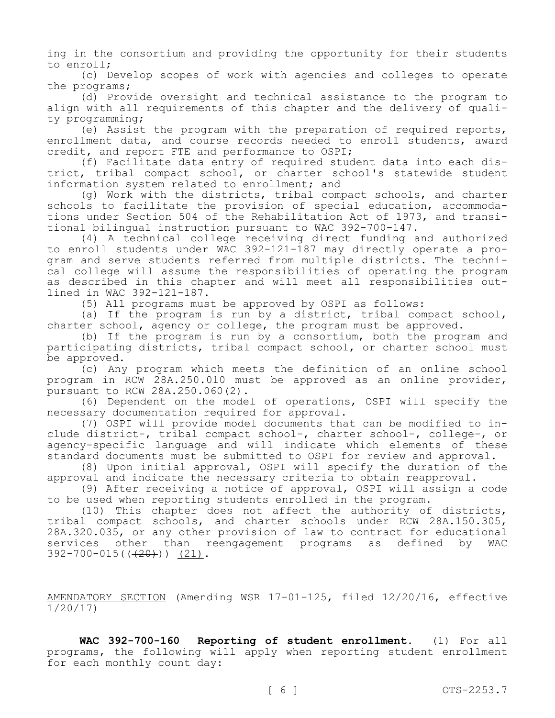ing in the consortium and providing the opportunity for their students to enroll;

(c) Develop scopes of work with agencies and colleges to operate the programs;

(d) Provide oversight and technical assistance to the program to align with all requirements of this chapter and the delivery of quality programming;

(e) Assist the program with the preparation of required reports, enrollment data, and course records needed to enroll students, award credit, and report FTE and performance to OSPI;

(f) Facilitate data entry of required student data into each district, tribal compact school, or charter school's statewide student information system related to enrollment; and

(g) Work with the districts, tribal compact schools, and charter schools to facilitate the provision of special education, accommodations under Section 504 of the Rehabilitation Act of 1973, and transitional bilingual instruction pursuant to WAC 392-700-147.

(4) A technical college receiving direct funding and authorized to enroll students under WAC 392-121-187 may directly operate a program and serve students referred from multiple districts. The technical college will assume the responsibilities of operating the program as described in this chapter and will meet all responsibilities outlined in WAC 392-121-187.

(5) All programs must be approved by OSPI as follows:

(a) If the program is run by a district, tribal compact school, charter school, agency or college, the program must be approved.

(b) If the program is run by a consortium, both the program and participating districts, tribal compact school, or charter school must be approved.

(c) Any program which meets the definition of an online school program in RCW 28A.250.010 must be approved as an online provider, pursuant to RCW 28A.250.060(2).

(6) Dependent on the model of operations, OSPI will specify the necessary documentation required for approval.

(7) OSPI will provide model documents that can be modified to include district-, tribal compact school-, charter school-, college-, or agency-specific language and will indicate which elements of these standard documents must be submitted to OSPI for review and approval.

(8) Upon initial approval, OSPI will specify the duration of the approval and indicate the necessary criteria to obtain reapproval.

(9) After receiving a notice of approval, OSPI will assign a code to be used when reporting students enrolled in the program.

(10) This chapter does not affect the authority of districts, tribal compact schools, and charter schools under RCW 28A.150.305, 28A.320.035, or any other provision of law to contract for educational<br>services other than reengagement programs as defined by WAC services other than reengagement programs as defined by WAC  $392-700-015$  ( $(420)$ ) (21).

AMENDATORY SECTION (Amending WSR 17-01-125, filed 12/20/16, effective 1/20/17)

**WAC 392-700-160 Reporting of student enrollment.** (1) For all programs, the following will apply when reporting student enrollment for each monthly count day: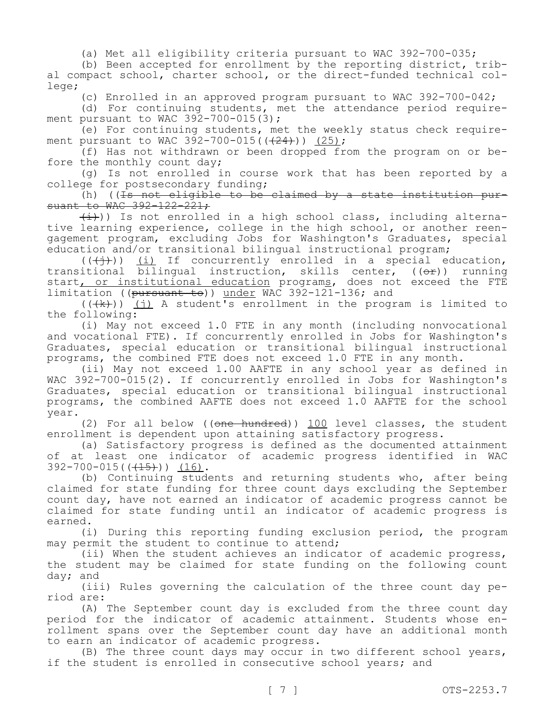(a) Met all eligibility criteria pursuant to WAC 392-700-035;

(b) Been accepted for enrollment by the reporting district, tribal compact school, charter school, or the direct-funded technical college;

(c) Enrolled in an approved program pursuant to WAC 392-700-042;

(d) For continuing students, met the attendance period requirement pursuant to WAC  $392 - 700 - 015(3)$ ;

(e) For continuing students, met the weekly status check requirement pursuant to WAC 392-700-015( $(424)$ )) (25);

(f) Has not withdrawn or been dropped from the program on or before the monthly count day;

(g) Is not enrolled in course work that has been reported by a college for postsecondary funding;

(h) (( $\overline{1s}$  not eligible to be claimed by a state institution pursuant to WAC 392-122-221;

 $(\pm)$ )) Is not enrolled in a high school class, including alternative learning experience, college in the high school, or another reengagement program, excluding Jobs for Washington's Graduates, special education and/or transitional bilingual instructional program;

 $((\nleftrightarrow))$  (i) If concurrently enrolled in a special education, transitional bilingual instruction, skills center,  $((\theta \cdot \hat{r}))$  running start, or institutional education programs, does not exceed the FTE limitation ((pursuant to)) under WAC 392-121-136; and

 $((+k))$  (j) A student's enrollment in the program is limited to the following:

(i) May not exceed 1.0 FTE in any month (including nonvocational and vocational FTE). If concurrently enrolled in Jobs for Washington's Graduates, special education or transitional bilingual instructional programs, the combined FTE does not exceed 1.0 FTE in any month.

(ii) May not exceed 1.00 AAFTE in any school year as defined in WAC 392-700-015(2). If concurrently enrolled in Jobs for Washington's Graduates, special education or transitional bilingual instructional programs, the combined AAFTE does not exceed 1.0 AAFTE for the school year.

(2) For all below ((one hundred)) 100 level classes, the student enrollment is dependent upon attaining satisfactory progress.

(a) Satisfactory progress is defined as the documented attainment of at least one indicator of academic progress identified in WAC 392-700-015((<del>(15)</del>)) <u>(16)</u>.

(b) Continuing students and returning students who, after being claimed for state funding for three count days excluding the September count day, have not earned an indicator of academic progress cannot be claimed for state funding until an indicator of academic progress is earned.

(i) During this reporting funding exclusion period, the program may permit the student to continue to attend;

(ii) When the student achieves an indicator of academic progress, the student may be claimed for state funding on the following count day; and

(iii) Rules governing the calculation of the three count day period are:

(A) The September count day is excluded from the three count day period for the indicator of academic attainment. Students whose enrollment spans over the September count day have an additional month to earn an indicator of academic progress.

(B) The three count days may occur in two different school years, if the student is enrolled in consecutive school years; and